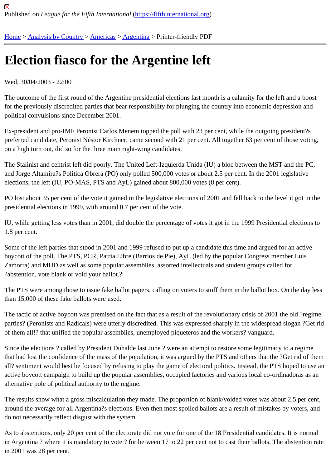## [Ele](https://fifthinternational.org/)[ction fiasc](https://fifthinternational.org/category/1)[o for t](https://fifthinternational.org/category/1/56)[he Arg](https://fifthinternational.org/category/1/56/57)entine left

Wed, 30/04/2003 - 22:00

The outcome of the first round of the Argentine presidential elections last month is a calamity for the left and a boc for the previously discredited parties that bear responsibility for plunging the country into economic depression and political convulsions since December 2001.

Ex-president and pro-IMF Peronist Carlos Menem topped the poll with 23 per cent, while the outgoing president?s preferred candidate, Peronist Néstor Kirchner, came second with 21 per cent. All together 63 per cent of those vot on a high turn out, did so for the three main right-wing candidates.

The Stalinist and centrist left did poorly. The United Left-Izquierda Unida (IU) a bloc between the MST and the PC, and Jorge Altamira?s Politica Obrera (PO) only polled 500,000 votes or about 2.5 per cent. In the 2001 legislative elections, the left (IU, PO-MAS, PTS and AyL) gained about 800,000 votes (8 per cent).

PO lost about 35 per cent of the vote it gained in the legislative elections of 2001 and fell back to the level it got in presidential elections in 1999, with around 0.7 per cent of the vote.

IU, while getting less votes than in 2001, did double the percentage of votes it got in the 1999 Presidential election 1.8 per cent.

Some of the left parties that stood in 2001 and 1999 refused to put up a candidate this time and argued for an activ boycott of the poll. The PTS, PCR, Patria Libre (Barrios de Pie), AyL (led by the popular Congress member Luis Zamorra) and MIJD as well as some popular assemblies, assorted intellectuals and student groups called for ?abstention, vote blank or void your ballot.?

The PTS were among those to issue fake ballot papers, calling on voters to stuff them in the ballot box. On the day than 15,000 of these fake ballots were used.

The tactic of active boycott was premised on the fact that as a result of the revolutionary crisis of 2001 the old ?reg parties? (Peronists and Radicals) were utterly discredited. This was expressed sharply in the widespread slogan? of them all!? that unified the popular assemblies, unemployed piqueteros and the workers? vanguard.

Since the elections ? called by President Duhalde last June ? were an attempt to restore some legitimacy to a regi that had lost the confidence of the mass of the population, it was argued by the PTS and others that the ?Get rid o all? sentiment would best be focused by refusing to play the game of electoral politics. Instead, the PTS hoped to active boycott campaign to build up the popular assemblies, occupied factories and various local co-ordinadoras a alternative pole of political authority to the regime.

The results show what a gross miscalculation they made. The proportion of blank/voided votes was about 2.5 per around the average for all Argentina?s elections. Even then most spoiled ballots are a result of mistakes by voters do not necessarily reflect disgust with the system.

As to abstentions, only 20 per cent of the electorate did not vote for one of the 18 Presidential candidates. It is nor in Argentina ? where it is mandatory to vote ? for between 17 to 22 per cent not to cast their ballots. The abstentio in 2001 was 28 per cent.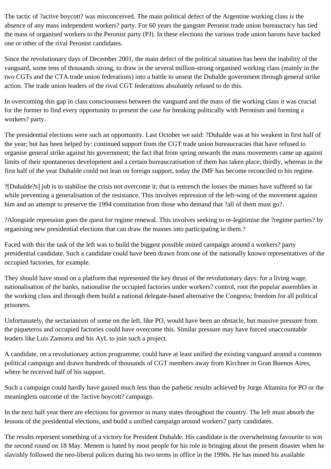The tactic of ?active boycott? was misconceived. The main political defect of the Argentine working class is the absence of any mass independent workers? party. For 60 years the gangster Peronist trade union bureaucracy has tied the mass of organised workers to the Peronist party (PJ). In these elections the various trade union barons have backed one or other of the rival Peronist candidates.

Since the revolutionary days of December 2001, the main defect of the political situation has been the inability of the vanguard, some tens of thousands strong, to draw in the several million-strong organised working class (mainly in the two CGTs and the CTA trade union federations) into a battle to unseat the Duhalde government through general strike action. The trade union leaders of the rival CGT federations absolutely refused to do this.

In overcoming this gap in class consciousness between the vanguard and the mass of the working class it was crucial for the former to find every opportunity to present the case for breaking politically with Peronism and forming a workers? party.

The presidential elections were such an opportunity. Last October we said: ?Duhalde was at his weakest in first half of the year; but has been helped by: continued support from the CGT trade union bureaucracies that have refused to organise general strike against his government; the fact that from spring onwards the mass movements came up against limits of their spontaneous development and a certain bureaucratisation of them has taken place; thirdly, whereas in the first half of the year Duhalde could not lean on foreign support, today the IMF has become reconciled to his regime.

?[Duhalde?s] job is to stabilise the crisis not overcome it; that is entrench the losses the masses have suffered so far while preventing a generalisation of the resistance. This involves repression of the left-wing of the movement against him and an attempt to preserve the 1994 constitution from those who demand that ?all of them must go?.

?Alongside repression goes the quest for regime renewal. This involves seeking to re-legitimise the ?regime parties? by organising new presidential elections that can draw the masses into participating in them.?

Faced with this the task of the left was to build the biggest possible united campaign around a workers? party presidential candidate. Such a candidate could have been drawn from one of the nationally known representatives of the occupied factories, for example.

They should have stood on a platform that represented the key thrust of the revolutionary days: for a living wage, nationalisation of the banks, nationalise the occupied factories under workers? control, root the popular assemblies in the working class and through them build a national delegate-based alternative the Congress; freedom for all political prisoners.

Unfortunately, the sectarianism of some on the left, like PO, would have been an obstacle, but massive pressure from the piqueteros and occupied factories could have overcome this. Similar pressure may have forced unaccountable leaders like Luis Zamorra and his AyL to join such a project.

A candidate, on a revolutionary action programme, could have at least unified the existing vanguard around a common political campaign and drawn hundreds of thousands of CGT members away from Kirchner in Gran Buenos Aires, where he received half of his support.

Such a campaign could hardly have gained much less than the pathetic results achieved by Jorge Altamira for PO or the meaningless outcome of the ?active boycott? campaign.

In the next half year there are elections for governor in many states throughout the country. The left must absorb the lessons of the presidential elections, and build a unified campaign around workers? party candidates.

The results represent something of a victory for President Duhalde. His candidate is the overwhelming favourite to win the second round on 18 May. Menem is hated by most people for his role in bringing about the present disaster when he slavishly followed the neo-liberal polices during his two terms in office in the 1990s. He has mined his available